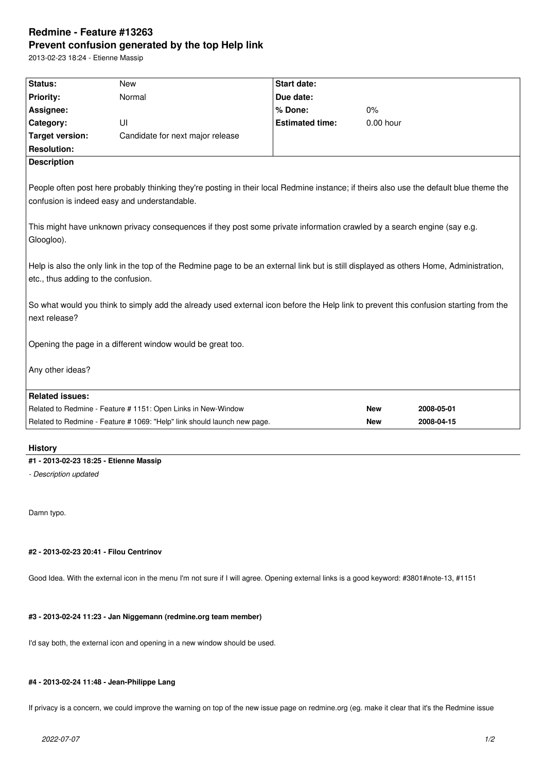# **Redmine - Feature #13263 Prevent confusion generated by the top Help link**

2013-02-23 18:24 - Etienne Massip

| <b>Priority:</b><br>Normal<br>Due date:<br>Assignee:<br>% Done:<br>$0\%$<br>Category:<br>UI<br><b>Estimated time:</b><br>$0.00$ hour<br><b>Target version:</b><br>Candidate for next major release<br><b>Resolution:</b><br><b>Description</b><br>People often post here probably thinking they're posting in their local Redmine instance; if theirs also use the default blue theme the<br>confusion is indeed easy and understandable.<br>This might have unknown privacy consequences if they post some private information crawled by a search engine (say e.g.<br>Gloogloo).<br>Help is also the only link in the top of the Redmine page to be an external link but is still displayed as others Home, Administration,<br>etc., thus adding to the confusion.<br>So what would you think to simply add the already used external icon before the Help link to prevent this confusion starting from the<br>next release?<br>Opening the page in a different window would be great too.<br>Any other ideas?<br><b>Related issues:</b><br>Related to Redmine - Feature # 1151: Open Links in New-Window<br><b>New</b><br>2008-05-01<br>Related to Redmine - Feature # 1069: "Help" link should launch new page.<br>2008-04-15<br><b>New</b> | Status: | <b>New</b> | <b>Start date:</b> |  |  |  |
|-------------------------------------------------------------------------------------------------------------------------------------------------------------------------------------------------------------------------------------------------------------------------------------------------------------------------------------------------------------------------------------------------------------------------------------------------------------------------------------------------------------------------------------------------------------------------------------------------------------------------------------------------------------------------------------------------------------------------------------------------------------------------------------------------------------------------------------------------------------------------------------------------------------------------------------------------------------------------------------------------------------------------------------------------------------------------------------------------------------------------------------------------------------------------------------------------------------------------------------------------|---------|------------|--------------------|--|--|--|
|                                                                                                                                                                                                                                                                                                                                                                                                                                                                                                                                                                                                                                                                                                                                                                                                                                                                                                                                                                                                                                                                                                                                                                                                                                                 |         |            |                    |  |  |  |
|                                                                                                                                                                                                                                                                                                                                                                                                                                                                                                                                                                                                                                                                                                                                                                                                                                                                                                                                                                                                                                                                                                                                                                                                                                                 |         |            |                    |  |  |  |
|                                                                                                                                                                                                                                                                                                                                                                                                                                                                                                                                                                                                                                                                                                                                                                                                                                                                                                                                                                                                                                                                                                                                                                                                                                                 |         |            |                    |  |  |  |
|                                                                                                                                                                                                                                                                                                                                                                                                                                                                                                                                                                                                                                                                                                                                                                                                                                                                                                                                                                                                                                                                                                                                                                                                                                                 |         |            |                    |  |  |  |
|                                                                                                                                                                                                                                                                                                                                                                                                                                                                                                                                                                                                                                                                                                                                                                                                                                                                                                                                                                                                                                                                                                                                                                                                                                                 |         |            |                    |  |  |  |
|                                                                                                                                                                                                                                                                                                                                                                                                                                                                                                                                                                                                                                                                                                                                                                                                                                                                                                                                                                                                                                                                                                                                                                                                                                                 |         |            |                    |  |  |  |
|                                                                                                                                                                                                                                                                                                                                                                                                                                                                                                                                                                                                                                                                                                                                                                                                                                                                                                                                                                                                                                                                                                                                                                                                                                                 |         |            |                    |  |  |  |
|                                                                                                                                                                                                                                                                                                                                                                                                                                                                                                                                                                                                                                                                                                                                                                                                                                                                                                                                                                                                                                                                                                                                                                                                                                                 |         |            |                    |  |  |  |
|                                                                                                                                                                                                                                                                                                                                                                                                                                                                                                                                                                                                                                                                                                                                                                                                                                                                                                                                                                                                                                                                                                                                                                                                                                                 |         |            |                    |  |  |  |
|                                                                                                                                                                                                                                                                                                                                                                                                                                                                                                                                                                                                                                                                                                                                                                                                                                                                                                                                                                                                                                                                                                                                                                                                                                                 |         |            |                    |  |  |  |
|                                                                                                                                                                                                                                                                                                                                                                                                                                                                                                                                                                                                                                                                                                                                                                                                                                                                                                                                                                                                                                                                                                                                                                                                                                                 |         |            |                    |  |  |  |
|                                                                                                                                                                                                                                                                                                                                                                                                                                                                                                                                                                                                                                                                                                                                                                                                                                                                                                                                                                                                                                                                                                                                                                                                                                                 |         |            |                    |  |  |  |
|                                                                                                                                                                                                                                                                                                                                                                                                                                                                                                                                                                                                                                                                                                                                                                                                                                                                                                                                                                                                                                                                                                                                                                                                                                                 |         |            |                    |  |  |  |
|                                                                                                                                                                                                                                                                                                                                                                                                                                                                                                                                                                                                                                                                                                                                                                                                                                                                                                                                                                                                                                                                                                                                                                                                                                                 |         |            |                    |  |  |  |

# **History**

**#1 - 2013-02-23 18:25 - Etienne Massip**

*- Description updated*

Damn typo.

## **#2 - 2013-02-23 20:41 - Filou Centrinov**

Good Idea. With the external icon in the menu I'm not sure if I will agree. Opening external links is a good keyword: #3801#note-13, #1151

# **#3 - 2013-02-24 11:23 - Jan Niggemann (redmine.org team member)**

I'd say both, the external icon and opening in a new window should be used.

## **#4 - 2013-02-24 11:48 - Jean-Philippe Lang**

If privacy is a concern, we could improve the warning on top of the new issue page on redmine.org (eg. make it clear that it's the Redmine issue